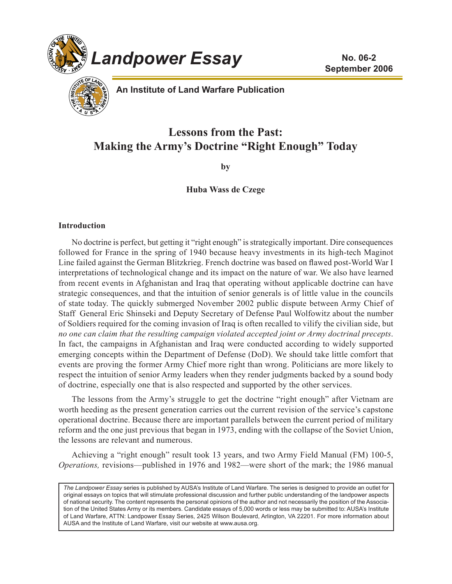



**An Institute of Land Warfare Publication**

# **Lessons from the Past: Making the Army's Doctrine "Right Enough" Today**

**by**

## **Huba Wass de Czege**

### **Introduction**

No doctrine is perfect, but getting it "right enough" is strategically important. Dire consequences followed for France in the spring of 1940 because heavy investments in its high-tech Maginot Line failed against the German Blitzkrieg. French doctrine was based on flawed post-World War I interpretations of technological change and its impact on the nature of war. We also have learned from recent events in Afghanistan and Iraq that operating without applicable doctrine can have strategic consequences, and that the intuition of senior generals is of little value in the councils of state today. The quickly submerged November 2002 public dispute between Army Chief of Staff General Eric Shinseki and Deputy Secretary of Defense Paul Wolfowitz about the number of Soldiers required for the coming invasion of Iraq is often recalled to vilify the civilian side, but *no one can claim that the resulting campaign violated accepted joint or Army doctrinal precepts*. In fact, the campaigns in Afghanistan and Iraq were conducted according to widely supported emerging concepts within the Department of Defense (DoD). We should take little comfort that events are proving the former Army Chief more right than wrong. Politicians are more likely to respect the intuition of senior Army leaders when they render judgments backed by a sound body of doctrine, especially one that is also respected and supported by the other services.

The lessons from the Army's struggle to get the doctrine "right enough" after Vietnam are worth heeding as the present generation carries out the current revision of the service's capstone operational doctrine. Because there are important parallels between the current period of military reform and the one just previous that began in 1973, ending with the collapse of the Soviet Union, the lessons are relevant and numerous.

Achieving a "right enough" result took 13 years, and two Army Field Manual (FM) 100-5, *Operations,* revisions—published in 1976 and 1982—were short of the mark; the 1986 manual

*The Landpower Essay* series is published by AUSA's Institute of Land Warfare. The series is designed to provide an outlet for original essays on topics that will stimulate professional discussion and further public understanding of the landpower aspects of national security. The content represents the personal opinions of the author and not necessarily the position of the Association of the United States Army or its members. Candidate essays of 5,000 words or less may be submitted to: AUSA's Institute of Land Warfare, ATTN: Landpower Essay Series, 2425 Wilson Boulevard, Arlington, VA 22201. For more information about AUSA and the Institute of Land Warfare, visit our website at www.ausa.org.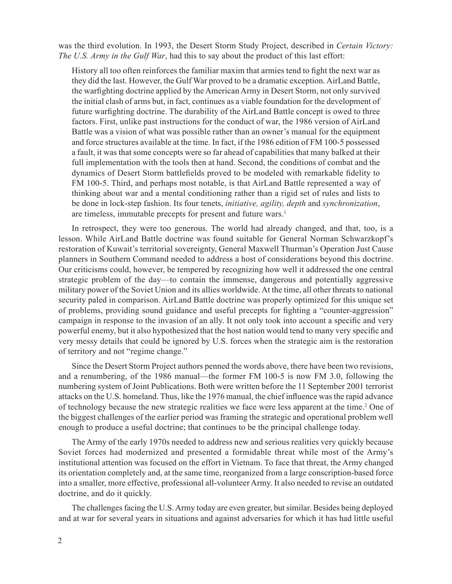was the third evolution. In 1993, the Desert Storm Study Project, described in *Certain Victory: The U.S. Army in the Gulf War*, had this to say about the product of this last effort:

History all too often reinforces the familiar maxim that armies tend to fight the next war as they did the last. However, the Gulf War proved to be a dramatic exception. AirLand Battle, the warfighting doctrine applied by the American Army in Desert Storm, not only survived the initial clash of arms but, in fact, continues as a viable foundation for the development of future warfighting doctrine. The durability of the AirLand Battle concept is owed to three factors. First, unlike past instructions for the conduct of war, the 1986 version of AirLand Battle was a vision of what was possible rather than an owner's manual for the equipment and force structures available at the time. In fact, if the 1986 edition of FM 100-5 possessed a fault, it was that some concepts were so far ahead of capabilities that many balked at their full implementation with the tools then at hand. Second, the conditions of combat and the dynamics of Desert Storm battlefields proved to be modeled with remarkable fidelity to FM 100-5. Third, and perhaps most notable, is that AirLand Battle represented a way of thinking about war and a mental conditioning rather than a rigid set of rules and lists to be done in lock-step fashion. Its four tenets, *initiative, agility, depth* and *synchronization*, are timeless, immutable precepts for present and future wars.<sup>1</sup>

In retrospect, they were too generous. The world had already changed, and that, too, is a lesson. While AirLand Battle doctrine was found suitable for General Norman Schwarzkopf's restoration of Kuwait's territorial sovereignty, General Maxwell Thurman's Operation Just Cause planners in Southern Command needed to address a host of considerations beyond this doctrine. Our criticisms could, however, be tempered by recognizing how well it addressed the one central strategic problem of the day—to contain the immense, dangerous and potentially aggressive military power of the Soviet Union and its allies worldwide. At the time, all other threats to national security paled in comparison. AirLand Battle doctrine was properly optimized for this unique set of problems, providing sound guidance and useful precepts for fighting a "counter-aggression" campaign in response to the invasion of an ally. It not only took into account a specific and very powerful enemy, but it also hypothesized that the host nation would tend to many very specific and very messy details that could be ignored by U.S. forces when the strategic aim is the restoration of territory and not "regime change."

Since the Desert Storm Project authors penned the words above, there have been two revisions, and a renumbering, of the 1986 manual—the former FM 100-5 is now FM 3.0, following the numbering system of Joint Publications. Both were written before the 11 September 2001 terrorist attacks on the U.S. homeland. Thus, like the 1976 manual, the chief influence was the rapid advance of technology because the new strategic realities we face were less apparent at the time.<sup>2</sup> One of the biggest challenges of the earlier period was framing the strategic and operational problem well enough to produce a useful doctrine; that continues to be the principal challenge today.

The Army of the early 1970s needed to address new and serious realities very quickly because Soviet forces had modernized and presented a formidable threat while most of the Army's institutional attention was focused on the effort in Vietnam. To face that threat, the Army changed its orientation completely and, at the same time, reorganized from a large conscription-based force into a smaller, more effective, professional all-volunteer Army. It also needed to revise an outdated doctrine, and do it quickly.

The challenges facing the U.S. Army today are even greater, but similar. Besides being deployed and at war for several years in situations and against adversaries for which it has had little useful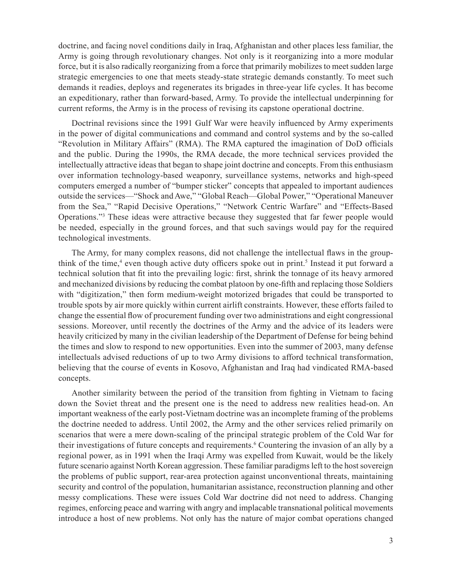doctrine, and facing novel conditions daily in Iraq, Afghanistan and other places less familiar, the Army is going through revolutionary changes. Not only is it reorganizing into a more modular force, but it is also radically reorganizing from a force that primarily mobilizes to meet sudden large strategic emergencies to one that meets steady-state strategic demands constantly. To meet such demands it readies, deploys and regenerates its brigades in three-year life cycles. It has become an expeditionary, rather than forward-based, Army. To provide the intellectual underpinning for current reforms, the Army is in the process of revising its capstone operational doctrine.

Doctrinal revisions since the 1991 Gulf War were heavily influenced by Army experiments in the power of digital communications and command and control systems and by the so-called "Revolution in Military Affairs" (RMA). The RMA captured the imagination of DoD officials and the public. During the 1990s, the RMA decade, the more technical services provided the intellectually attractive ideas that began to shape joint doctrine and concepts. From this enthusiasm over information technology-based weaponry, surveillance systems, networks and high-speed computers emerged a number of "bumper sticker" concepts that appealed to important audiences outside the services—"Shock and Awe," "Global Reach—Global Power," "Operational Maneuver from the Sea," "Rapid Decisive Operations," "Network Centric Warfare" and "Effects-Based Operations."3 These ideas were attractive because they suggested that far fewer people would be needed, especially in the ground forces, and that such savings would pay for the required technological investments.

The Army, for many complex reasons, did not challenge the intellectual flaws in the groupthink of the time,<sup>4</sup> even though active duty officers spoke out in print.<sup>5</sup> Instead it put forward a technical solution that fit into the prevailing logic: first, shrink the tonnage of its heavy armored and mechanized divisions by reducing the combat platoon by one-fifth and replacing those Soldiers with "digitization," then form medium-weight motorized brigades that could be transported to trouble spots by air more quickly within current airlift constraints. However, these efforts failed to change the essential flow of procurement funding over two administrations and eight congressional sessions. Moreover, until recently the doctrines of the Army and the advice of its leaders were heavily criticized by many in the civilian leadership of the Department of Defense for being behind the times and slow to respond to new opportunities. Even into the summer of 2003, many defense intellectuals advised reductions of up to two Army divisions to afford technical transformation, believing that the course of events in Kosovo, Afghanistan and Iraq had vindicated RMA-based concepts.

Another similarity between the period of the transition from fighting in Vietnam to facing down the Soviet threat and the present one is the need to address new realities head-on. An important weakness of the early post-Vietnam doctrine was an incomplete framing of the problems the doctrine needed to address. Until 2002, the Army and the other services relied primarily on scenarios that were a mere down-scaling of the principal strategic problem of the Cold War for their investigations of future concepts and requirements.<sup>6</sup> Countering the invasion of an ally by a regional power, as in 1991 when the Iraqi Army was expelled from Kuwait, would be the likely future scenario against North Korean aggression. These familiar paradigms left to the host sovereign the problems of public support, rear-area protection against unconventional threats, maintaining security and control of the population, humanitarian assistance, reconstruction planning and other messy complications. These were issues Cold War doctrine did not need to address. Changing regimes, enforcing peace and warring with angry and implacable transnational political movements introduce a host of new problems. Not only has the nature of major combat operations changed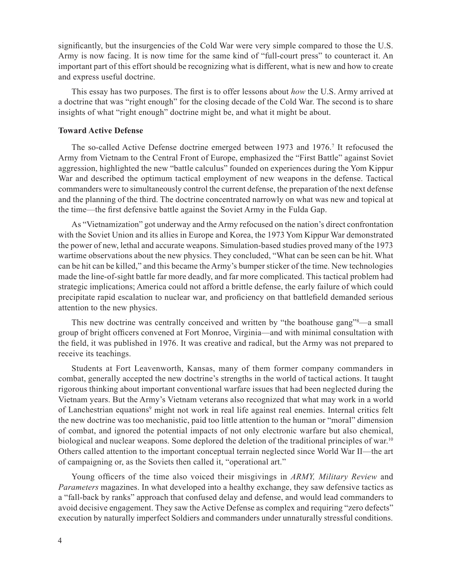significantly, but the insurgencies of the Cold War were very simple compared to those the U.S. Army is now facing. It is now time for the same kind of "full-court press" to counteract it. An important part of this effort should be recognizing what is different, what is new and how to create and express useful doctrine.

This essay has two purposes. The first is to offer lessons about *how* the U.S. Army arrived at a doctrine that was "right enough" for the closing decade of the Cold War. The second is to share insights of what "right enough" doctrine might be, and what it might be about.

#### **Toward Active Defense**

The so-called Active Defense doctrine emerged between 1973 and 1976.<sup>7</sup> It refocused the Army from Vietnam to the Central Front of Europe, emphasized the "First Battle" against Soviet aggression, highlighted the new "battle calculus" founded on experiences during the Yom Kippur War and described the optimum tactical employment of new weapons in the defense. Tactical commanders were to simultaneously control the current defense, the preparation of the next defense and the planning of the third. The doctrine concentrated narrowly on what was new and topical at the time—the first defensive battle against the Soviet Army in the Fulda Gap.

As "Vietnamization" got underway and the Army refocused on the nation's direct confrontation with the Soviet Union and its allies in Europe and Korea, the 1973 Yom Kippur War demonstrated the power of new, lethal and accurate weapons. Simulation-based studies proved many of the 1973 wartime observations about the new physics. They concluded, "What can be seen can be hit. What can be hit can be killed," and this became the Army's bumper sticker of the time. New technologies made the line-of-sight battle far more deadly, and far more complicated. This tactical problem had strategic implications; America could not afford a brittle defense, the early failure of which could precipitate rapid escalation to nuclear war, and proficiency on that battlefield demanded serious attention to the new physics.

This new doctrine was centrally conceived and written by "the boathouse gang"<sup>8</sup>—a small group of bright officers convened at Fort Monroe, Virginia—and with minimal consultation with the field, it was published in 1976. It was creative and radical, but the Army was not prepared to receive its teachings.

Students at Fort Leavenworth, Kansas, many of them former company commanders in combat, generally accepted the new doctrine's strengths in the world of tactical actions. It taught rigorous thinking about important conventional warfare issues that had been neglected during the Vietnam years. But the Army's Vietnam veterans also recognized that what may work in a world of Lanchestrian equations<sup>9</sup> might not work in real life against real enemies. Internal critics felt the new doctrine was too mechanistic, paid too little attention to the human or "moral" dimension of combat, and ignored the potential impacts of not only electronic warfare but also chemical, biological and nuclear weapons. Some deplored the deletion of the traditional principles of war.<sup>10</sup> Others called attention to the important conceptual terrain neglected since World War II—the art of campaigning or, as the Soviets then called it, "operational art."

Young officers of the time also voiced their misgivings in *ARMY, Military Review* and *Parameters* magazines. In what developed into a healthy exchange, they saw defensive tactics as a "fall-back by ranks" approach that confused delay and defense, and would lead commanders to avoid decisive engagement. They saw the Active Defense as complex and requiring "zero defects" execution by naturally imperfect Soldiers and commanders under unnaturally stressful conditions.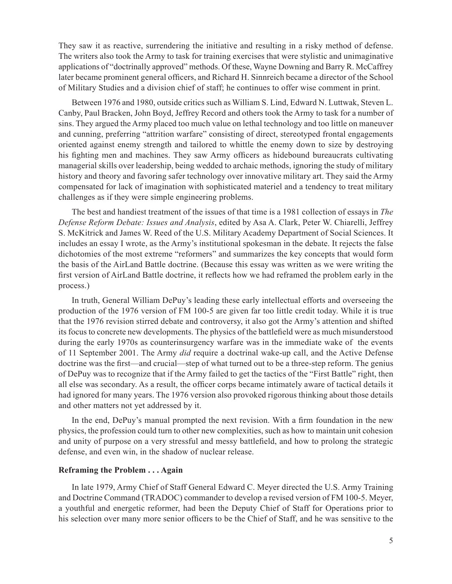They saw it as reactive, surrendering the initiative and resulting in a risky method of defense. The writers also took the Army to task for training exercises that were stylistic and unimaginative applications of "doctrinally approved" methods. Of these, Wayne Downing and Barry R. McCaffrey later became prominent general officers, and Richard H. Sinnreich became a director of the School of Military Studies and a division chief of staff; he continues to offer wise comment in print.

Between 1976 and 1980, outside critics such as William S. Lind, Edward N. Luttwak, Steven L. Canby, Paul Bracken, John Boyd, Jeffrey Record and others took the Army to task for a number of sins. They argued the Army placed too much value on lethal technology and too little on maneuver and cunning, preferring "attrition warfare" consisting of direct, stereotyped frontal engagements oriented against enemy strength and tailored to whittle the enemy down to size by destroying his fighting men and machines. They saw Army officers as hidebound bureaucrats cultivating managerial skills over leadership, being wedded to archaic methods, ignoring the study of military history and theory and favoring safer technology over innovative military art. They said the Army compensated for lack of imagination with sophisticated materiel and a tendency to treat military challenges as if they were simple engineering problems.

The best and handiest treatment of the issues of that time is a 1981 collection of essays in *The Defense Reform Debate: Issues and Analysis*, edited by Asa A. Clark, Peter W. Chiarelli, Jeffrey S. McKitrick and James W. Reed of the U.S. Military Academy Department of Social Sciences. It includes an essay I wrote, as the Army's institutional spokesman in the debate. It rejects the false dichotomies of the most extreme "reformers" and summarizes the key concepts that would form the basis of the AirLand Battle doctrine. (Because this essay was written as we were writing the first version of AirLand Battle doctrine, it reflects how we had reframed the problem early in the process.)

In truth, General William DePuy's leading these early intellectual efforts and overseeing the production of the 1976 version of FM 100-5 are given far too little credit today. While it is true that the 1976 revision stirred debate and controversy, it also got the Army's attention and shifted its focus to concrete new developments. The physics of the battlefield were as much misunderstood during the early 1970s as counterinsurgency warfare was in the immediate wake of the events of 11 September 2001. The Army *did* require a doctrinal wake-up call, and the Active Defense doctrine was the first—and crucial—step of what turned out to be a three-step reform. The genius of DePuy was to recognize that if the Army failed to get the tactics of the "First Battle" right, then all else was secondary. As a result, the officer corps became intimately aware of tactical details it had ignored for many years. The 1976 version also provoked rigorous thinking about those details and other matters not yet addressed by it.

In the end, DePuy's manual prompted the next revision. With a firm foundation in the new physics, the profession could turn to other new complexities, such as how to maintain unit cohesion and unity of purpose on a very stressful and messy battlefield, and how to prolong the strategic defense, and even win, in the shadow of nuclear release.

#### **Reframing the Problem . . . Again**

In late 1979, Army Chief of Staff General Edward C. Meyer directed the U.S. Army Training and Doctrine Command (TRADOC) commander to develop a revised version of FM 100-5. Meyer, a youthful and energetic reformer, had been the Deputy Chief of Staff for Operations prior to his selection over many more senior officers to be the Chief of Staff, and he was sensitive to the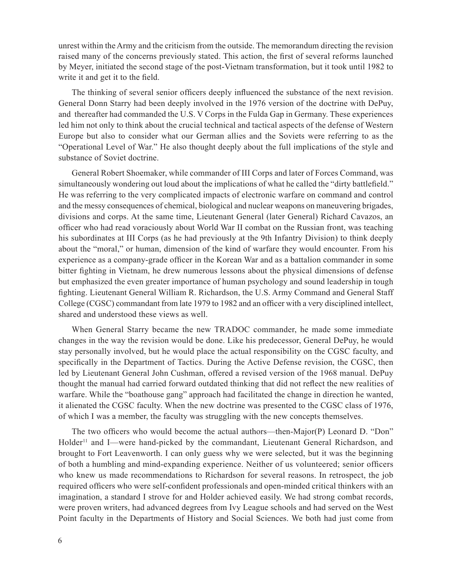unrest within the Army and the criticism from the outside. The memorandum directing the revision raised many of the concerns previously stated. This action, the first of several reforms launched by Meyer, initiated the second stage of the post-Vietnam transformation, but it took until 1982 to write it and get it to the field.

The thinking of several senior officers deeply influenced the substance of the next revision. General Donn Starry had been deeply involved in the 1976 version of the doctrine with DePuy, and thereafter had commanded the U.S. V Corps in the Fulda Gap in Germany. These experiences led him not only to think about the crucial technical and tactical aspects of the defense of Western Europe but also to consider what our German allies and the Soviets were referring to as the "Operational Level of War." He also thought deeply about the full implications of the style and substance of Soviet doctrine.

General Robert Shoemaker, while commander of III Corps and later of Forces Command, was simultaneously wondering out loud about the implications of what he called the "dirty battlefield." He was referring to the very complicated impacts of electronic warfare on command and control and the messy consequences of chemical, biological and nuclear weapons on maneuvering brigades, divisions and corps. At the same time, Lieutenant General (later General) Richard Cavazos, an officer who had read voraciously about World War II combat on the Russian front, was teaching his subordinates at III Corps (as he had previously at the 9th Infantry Division) to think deeply about the "moral," or human, dimension of the kind of warfare they would encounter. From his experience as a company-grade officer in the Korean War and as a battalion commander in some bitter fighting in Vietnam, he drew numerous lessons about the physical dimensions of defense but emphasized the even greater importance of human psychology and sound leadership in tough fighting. Lieutenant General William R. Richardson, the U.S. Army Command and General Staff College (CGSC) commandant from late 1979 to 1982 and an officer with a very disciplined intellect, shared and understood these views as well.

When General Starry became the new TRADOC commander, he made some immediate changes in the way the revision would be done. Like his predecessor, General DePuy, he would stay personally involved, but he would place the actual responsibility on the CGSC faculty, and specifically in the Department of Tactics. During the Active Defense revision, the CGSC, then led by Lieutenant General John Cushman, offered a revised version of the 1968 manual. DePuy thought the manual had carried forward outdated thinking that did not reflect the new realities of warfare. While the "boathouse gang" approach had facilitated the change in direction he wanted, it alienated the CGSC faculty. When the new doctrine was presented to the CGSC class of 1976, of which I was a member, the faculty was struggling with the new concepts themselves.

The two officers who would become the actual authors—then-Major(P) Leonard D. "Don" Holder<sup>11</sup> and I—were hand-picked by the commandant, Lieutenant General Richardson, and brought to Fort Leavenworth. I can only guess why we were selected, but it was the beginning of both a humbling and mind-expanding experience. Neither of us volunteered; senior officers who knew us made recommendations to Richardson for several reasons. In retrospect, the job required officers who were self-confident professionals and open-minded critical thinkers with an imagination, a standard I strove for and Holder achieved easily. We had strong combat records, were proven writers, had advanced degrees from Ivy League schools and had served on the West Point faculty in the Departments of History and Social Sciences. We both had just come from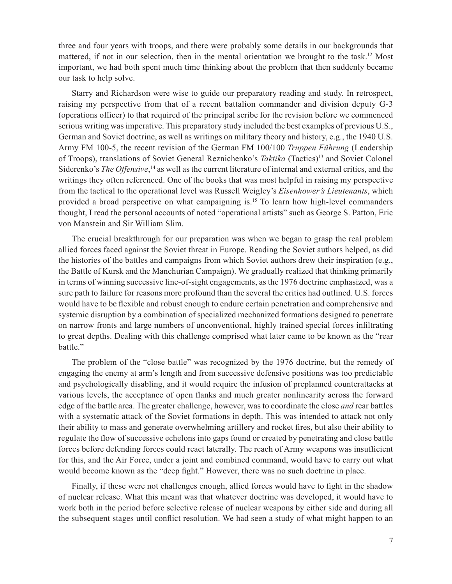three and four years with troops, and there were probably some details in our backgrounds that mattered, if not in our selection, then in the mental orientation we brought to the task.12 Most important, we had both spent much time thinking about the problem that then suddenly became our task to help solve.

Starry and Richardson were wise to guide our preparatory reading and study. In retrospect, raising my perspective from that of a recent battalion commander and division deputy G-3 (operations officer) to that required of the principal scribe for the revision before we commenced serious writing was imperative. This preparatory study included the best examples of previous U.S., German and Soviet doctrine, as well as writings on military theory and history, e.g., the 1940 U.S. Army FM 100-5, the recent revision of the German FM 100/100 *Truppen Führung* (Leadership of Troops), translations of Soviet General Reznichenko's *Taktika* (Tactics)13 and Soviet Colonel Siderenko's *The Offensive*, 14 as well as the current literature of internal and external critics, and the writings they often referenced. One of the books that was most helpful in raising my perspective from the tactical to the operational level was Russell Weigley's *Eisenhower's Lieutenants*, which provided a broad perspective on what campaigning is.15 To learn how high-level commanders thought, I read the personal accounts of noted "operational artists" such as George S. Patton, Eric von Manstein and Sir William Slim.

The crucial breakthrough for our preparation was when we began to grasp the real problem allied forces faced against the Soviet threat in Europe. Reading the Soviet authors helped, as did the histories of the battles and campaigns from which Soviet authors drew their inspiration (e.g., the Battle of Kursk and the Manchurian Campaign). We gradually realized that thinking primarily in terms of winning successive line-of-sight engagements, as the 1976 doctrine emphasized, was a sure path to failure for reasons more profound than the several the critics had outlined. U.S. forces would have to be flexible and robust enough to endure certain penetration and comprehensive and systemic disruption by a combination of specialized mechanized formations designed to penetrate on narrow fronts and large numbers of unconventional, highly trained special forces infiltrating to great depths. Dealing with this challenge comprised what later came to be known as the "rear battle."

The problem of the "close battle" was recognized by the 1976 doctrine, but the remedy of engaging the enemy at arm's length and from successive defensive positions was too predictable and psychologically disabling, and it would require the infusion of preplanned counterattacks at various levels, the acceptance of open flanks and much greater nonlinearity across the forward edge of the battle area. The greater challenge, however, was to coordinate the close *and* rear battles with a systematic attack of the Soviet formations in depth. This was intended to attack not only their ability to mass and generate overwhelming artillery and rocket fires, but also their ability to regulate the flow of successive echelons into gaps found or created by penetrating and close battle forces before defending forces could react laterally. The reach of Army weapons was insufficient for this, and the Air Force, under a joint and combined command, would have to carry out what would become known as the "deep fight." However, there was no such doctrine in place.

Finally, if these were not challenges enough, allied forces would have to fight in the shadow of nuclear release. What this meant was that whatever doctrine was developed, it would have to work both in the period before selective release of nuclear weapons by either side and during all the subsequent stages until conflict resolution. We had seen a study of what might happen to an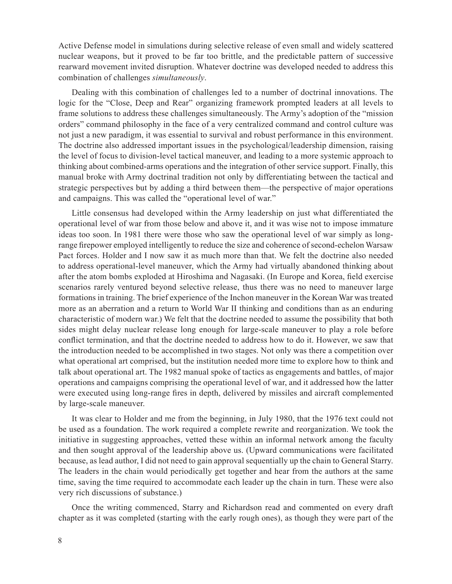Active Defense model in simulations during selective release of even small and widely scattered nuclear weapons, but it proved to be far too brittle, and the predictable pattern of successive rearward movement invited disruption. Whatever doctrine was developed needed to address this combination of challenges *simultaneously*.

Dealing with this combination of challenges led to a number of doctrinal innovations. The logic for the "Close, Deep and Rear" organizing framework prompted leaders at all levels to frame solutions to address these challenges simultaneously. The Army's adoption of the "mission orders" command philosophy in the face of a very centralized command and control culture was not just a new paradigm, it was essential to survival and robust performance in this environment. The doctrine also addressed important issues in the psychological/leadership dimension, raising the level of focus to division-level tactical maneuver, and leading to a more systemic approach to thinking about combined-arms operations and the integration of other service support. Finally, this manual broke with Army doctrinal tradition not only by differentiating between the tactical and strategic perspectives but by adding a third between them—the perspective of major operations and campaigns. This was called the "operational level of war."

Little consensus had developed within the Army leadership on just what differentiated the operational level of war from those below and above it, and it was wise not to impose immature ideas too soon. In 1981 there were those who saw the operational level of war simply as longrange firepower employed intelligently to reduce the size and coherence of second-echelon Warsaw Pact forces. Holder and I now saw it as much more than that. We felt the doctrine also needed to address operational-level maneuver, which the Army had virtually abandoned thinking about after the atom bombs exploded at Hiroshima and Nagasaki. (In Europe and Korea, field exercise scenarios rarely ventured beyond selective release, thus there was no need to maneuver large formations in training. The brief experience of the Inchon maneuver in the Korean War was treated more as an aberration and a return to World War II thinking and conditions than as an enduring characteristic of modern war.) We felt that the doctrine needed to assume the possibility that both sides might delay nuclear release long enough for large-scale maneuver to play a role before conflict termination, and that the doctrine needed to address how to do it. However, we saw that the introduction needed to be accomplished in two stages. Not only was there a competition over what operational art comprised, but the institution needed more time to explore how to think and talk about operational art. The 1982 manual spoke of tactics as engagements and battles, of major operations and campaigns comprising the operational level of war, and it addressed how the latter were executed using long-range fires in depth, delivered by missiles and aircraft complemented by large-scale maneuver.

It was clear to Holder and me from the beginning, in July 1980, that the 1976 text could not be used as a foundation. The work required a complete rewrite and reorganization. We took the initiative in suggesting approaches, vetted these within an informal network among the faculty and then sought approval of the leadership above us. (Upward communications were facilitated because, as lead author, I did not need to gain approval sequentially up the chain to General Starry. The leaders in the chain would periodically get together and hear from the authors at the same time, saving the time required to accommodate each leader up the chain in turn. These were also very rich discussions of substance.)

Once the writing commenced, Starry and Richardson read and commented on every draft chapter as it was completed (starting with the early rough ones), as though they were part of the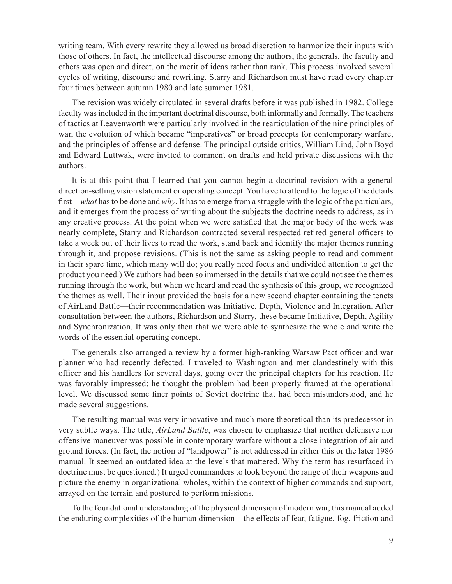writing team. With every rewrite they allowed us broad discretion to harmonize their inputs with those of others. In fact, the intellectual discourse among the authors, the generals, the faculty and others was open and direct, on the merit of ideas rather than rank. This process involved several cycles of writing, discourse and rewriting. Starry and Richardson must have read every chapter four times between autumn 1980 and late summer 1981.

The revision was widely circulated in several drafts before it was published in 1982. College faculty was included in the important doctrinal discourse, both informally and formally. The teachers of tactics at Leavenworth were particularly involved in the rearticulation of the nine principles of war, the evolution of which became "imperatives" or broad precepts for contemporary warfare, and the principles of offense and defense. The principal outside critics, William Lind, John Boyd and Edward Luttwak, were invited to comment on drafts and held private discussions with the authors.

It is at this point that I learned that you cannot begin a doctrinal revision with a general direction-setting vision statement or operating concept. You have to attend to the logic of the details first—*what* has to be done and *why*. It has to emerge from a struggle with the logic of the particulars, and it emerges from the process of writing about the subjects the doctrine needs to address, as in any creative process. At the point when we were satisfied that the major body of the work was nearly complete, Starry and Richardson contracted several respected retired general officers to take a week out of their lives to read the work, stand back and identify the major themes running through it, and propose revisions. (This is not the same as asking people to read and comment in their spare time, which many will do; you really need focus and undivided attention to get the product you need.) We authors had been so immersed in the details that we could not see the themes running through the work, but when we heard and read the synthesis of this group, we recognized the themes as well. Their input provided the basis for a new second chapter containing the tenets of AirLand Battle—their recommendation was Initiative, Depth, Violence and Integration. After consultation between the authors, Richardson and Starry, these became Initiative, Depth, Agility and Synchronization. It was only then that we were able to synthesize the whole and write the words of the essential operating concept.

The generals also arranged a review by a former high-ranking Warsaw Pact officer and war planner who had recently defected. I traveled to Washington and met clandestinely with this officer and his handlers for several days, going over the principal chapters for his reaction. He was favorably impressed; he thought the problem had been properly framed at the operational level. We discussed some finer points of Soviet doctrine that had been misunderstood, and he made several suggestions.

The resulting manual was very innovative and much more theoretical than its predecessor in very subtle ways. The title, *AirLand Battle*, was chosen to emphasize that neither defensive nor offensive maneuver was possible in contemporary warfare without a close integration of air and ground forces. (In fact, the notion of "landpower" is not addressed in either this or the later 1986 manual. It seemed an outdated idea at the levels that mattered. Why the term has resurfaced in doctrine must be questioned.) It urged commanders to look beyond the range of their weapons and picture the enemy in organizational wholes, within the context of higher commands and support, arrayed on the terrain and postured to perform missions.

To the foundational understanding of the physical dimension of modern war, this manual added the enduring complexities of the human dimension—the effects of fear, fatigue, fog, friction and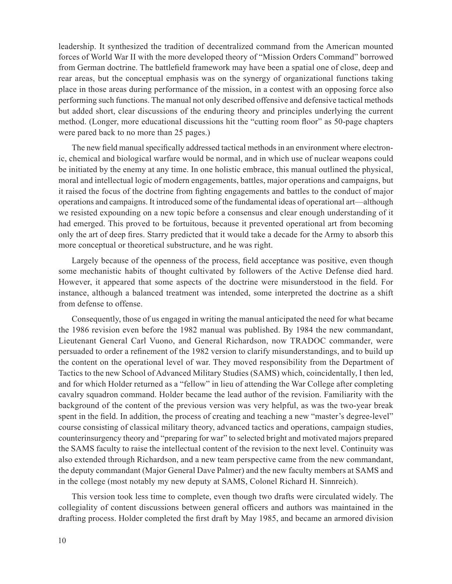leadership. It synthesized the tradition of decentralized command from the American mounted forces of World War II with the more developed theory of "Mission Orders Command" borrowed from German doctrine. The battlefield framework may have been a spatial one of close, deep and rear areas, but the conceptual emphasis was on the synergy of organizational functions taking place in those areas during performance of the mission, in a contest with an opposing force also performing such functions. The manual not only described offensive and defensive tactical methods but added short, clear discussions of the enduring theory and principles underlying the current method. (Longer, more educational discussions hit the "cutting room floor" as 50-page chapters were pared back to no more than 25 pages.)

The new field manual specifically addressed tactical methods in an environment where electronic, chemical and biological warfare would be normal, and in which use of nuclear weapons could be initiated by the enemy at any time. In one holistic embrace, this manual outlined the physical, moral and intellectual logic of modern engagements, battles, major operations and campaigns, but it raised the focus of the doctrine from fighting engagements and battles to the conduct of major operations and campaigns. It introduced some of the fundamental ideas of operational art—although we resisted expounding on a new topic before a consensus and clear enough understanding of it had emerged. This proved to be fortuitous, because it prevented operational art from becoming only the art of deep fires. Starry predicted that it would take a decade for the Army to absorb this more conceptual or theoretical substructure, and he was right.

Largely because of the openness of the process, field acceptance was positive, even though some mechanistic habits of thought cultivated by followers of the Active Defense died hard. However, it appeared that some aspects of the doctrine were misunderstood in the field. For instance, although a balanced treatment was intended, some interpreted the doctrine as a shift from defense to offense.

Consequently, those of us engaged in writing the manual anticipated the need for what became the 1986 revision even before the 1982 manual was published. By 1984 the new commandant, Lieutenant General Carl Vuono, and General Richardson, now TRADOC commander, were persuaded to order a refinement of the 1982 version to clarify misunderstandings, and to build up the content on the operational level of war. They moved responsibility from the Department of Tactics to the new School of Advanced Military Studies (SAMS) which, coincidentally, I then led, and for which Holder returned as a "fellow" in lieu of attending the War College after completing cavalry squadron command. Holder became the lead author of the revision. Familiarity with the background of the content of the previous version was very helpful, as was the two-year break spent in the field. In addition, the process of creating and teaching a new "master's degree-level" course consisting of classical military theory, advanced tactics and operations, campaign studies, counterinsurgency theory and "preparing for war" to selected bright and motivated majors prepared the SAMS faculty to raise the intellectual content of the revision to the next level. Continuity was also extended through Richardson, and a new team perspective came from the new commandant, the deputy commandant (Major General Dave Palmer) and the new faculty members at SAMS and in the college (most notably my new deputy at SAMS, Colonel Richard H. Sinnreich).

This version took less time to complete, even though two drafts were circulated widely. The collegiality of content discussions between general officers and authors was maintained in the drafting process. Holder completed the first draft by May 1985, and became an armored division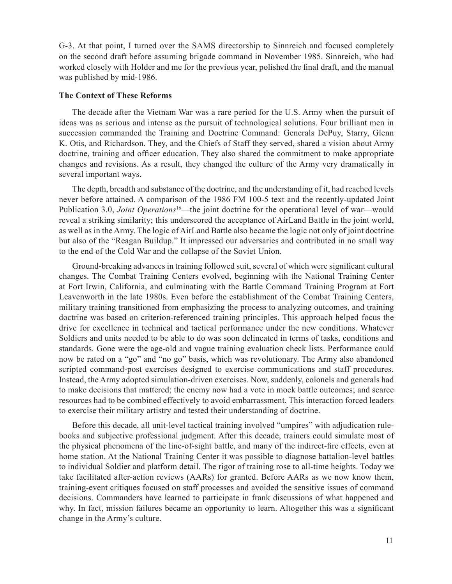G-3. At that point, I turned over the SAMS directorship to Sinnreich and focused completely on the second draft before assuming brigade command in November 1985. Sinnreich, who had worked closely with Holder and me for the previous year, polished the final draft, and the manual was published by mid-1986.

#### **The Context of These Reforms**

The decade after the Vietnam War was a rare period for the U.S. Army when the pursuit of ideas was as serious and intense as the pursuit of technological solutions. Four brilliant men in succession commanded the Training and Doctrine Command: Generals DePuy, Starry, Glenn K. Otis, and Richardson. They, and the Chiefs of Staff they served, shared a vision about Army doctrine, training and officer education. They also shared the commitment to make appropriate changes and revisions. As a result, they changed the culture of the Army very dramatically in several important ways.

The depth, breadth and substance of the doctrine, and the understanding of it, had reached levels never before attained. A comparison of the 1986 FM 100-5 text and the recently-updated Joint Publication 3.0, *Joint Operations*<sup>16</sup>—the joint doctrine for the operational level of war—would reveal a striking similarity; this underscored the acceptance of AirLand Battle in the joint world, as well as in the Army. The logic of AirLand Battle also became the logic not only of joint doctrine but also of the "Reagan Buildup." It impressed our adversaries and contributed in no small way to the end of the Cold War and the collapse of the Soviet Union.

Ground-breaking advances in training followed suit, several of which were significant cultural changes. The Combat Training Centers evolved, beginning with the National Training Center at Fort Irwin, California, and culminating with the Battle Command Training Program at Fort Leavenworth in the late 1980s. Even before the establishment of the Combat Training Centers, military training transitioned from emphasizing the process to analyzing outcomes, and training doctrine was based on criterion-referenced training principles. This approach helped focus the drive for excellence in technical and tactical performance under the new conditions. Whatever Soldiers and units needed to be able to do was soon delineated in terms of tasks, conditions and standards. Gone were the age-old and vague training evaluation check lists. Performance could now be rated on a "go" and "no go" basis, which was revolutionary. The Army also abandoned scripted command-post exercises designed to exercise communications and staff procedures. Instead, the Army adopted simulation-driven exercises. Now, suddenly, colonels and generals had to make decisions that mattered; the enemy now had a vote in mock battle outcomes; and scarce resources had to be combined effectively to avoid embarrassment. This interaction forced leaders to exercise their military artistry and tested their understanding of doctrine.

Before this decade, all unit-level tactical training involved "umpires" with adjudication rulebooks and subjective professional judgment. After this decade, trainers could simulate most of the physical phenomena of the line-of-sight battle, and many of the indirect-fire effects, even at home station. At the National Training Center it was possible to diagnose battalion-level battles to individual Soldier and platform detail. The rigor of training rose to all-time heights. Today we take facilitated after-action reviews (AARs) for granted. Before AARs as we now know them, training-event critiques focused on staff processes and avoided the sensitive issues of command decisions. Commanders have learned to participate in frank discussions of what happened and why. In fact, mission failures became an opportunity to learn. Altogether this was a significant change in the Army's culture.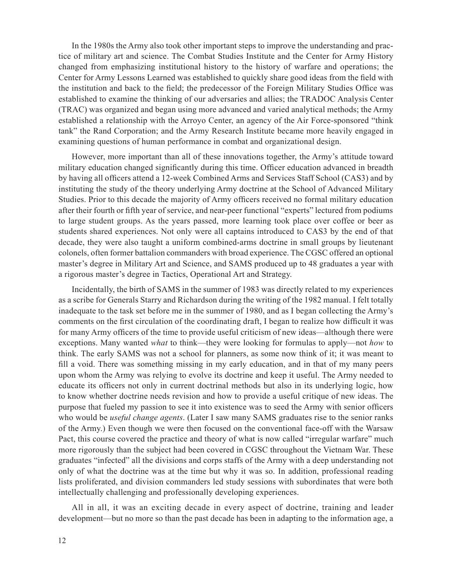In the 1980s the Army also took other important steps to improve the understanding and practice of military art and science. The Combat Studies Institute and the Center for Army History changed from emphasizing institutional history to the history of warfare and operations; the Center for Army Lessons Learned was established to quickly share good ideas from the field with the institution and back to the field; the predecessor of the Foreign Military Studies Office was established to examine the thinking of our adversaries and allies; the TRADOC Analysis Center (TRAC) was organized and began using more advanced and varied analytical methods; the Army established a relationship with the Arroyo Center, an agency of the Air Force-sponsored "think tank" the Rand Corporation; and the Army Research Institute became more heavily engaged in examining questions of human performance in combat and organizational design.

However, more important than all of these innovations together, the Army's attitude toward military education changed significantly during this time. Officer education advanced in breadth by having all officers attend a 12-week Combined Arms and Services Staff School (CAS3) and by instituting the study of the theory underlying Army doctrine at the School of Advanced Military Studies. Prior to this decade the majority of Army officers received no formal military education after their fourth or fifth year of service, and near-peer functional "experts" lectured from podiums to large student groups. As the years passed, more learning took place over coffee or beer as students shared experiences. Not only were all captains introduced to CAS3 by the end of that decade, they were also taught a uniform combined-arms doctrine in small groups by lieutenant colonels, often former battalion commanders with broad experience. The CGSC offered an optional master's degree in Military Art and Science, and SAMS produced up to 48 graduates a year with a rigorous master's degree in Tactics, Operational Art and Strategy.

Incidentally, the birth of SAMS in the summer of 1983 was directly related to my experiences as a scribe for Generals Starry and Richardson during the writing of the 1982 manual. I felt totally inadequate to the task set before me in the summer of 1980, and as I began collecting the Army's comments on the first circulation of the coordinating draft, I began to realize how difficult it was for many Army officers of the time to provide useful criticism of new ideas—although there were exceptions. Many wanted *what* to think—they were looking for formulas to apply—not *how* to think. The early SAMS was not a school for planners, as some now think of it; it was meant to fill a void. There was something missing in my early education, and in that of my many peers upon whom the Army was relying to evolve its doctrine and keep it useful. The Army needed to educate its officers not only in current doctrinal methods but also in its underlying logic, how to know whether doctrine needs revision and how to provide a useful critique of new ideas. The purpose that fueled my passion to see it into existence was to seed the Army with senior officers who would be *useful change agents*. (Later I saw many SAMS graduates rise to the senior ranks of the Army.) Even though we were then focused on the conventional face-off with the Warsaw Pact, this course covered the practice and theory of what is now called "irregular warfare" much more rigorously than the subject had been covered in CGSC throughout the Vietnam War. These graduates "infected" all the divisions and corps staffs of the Army with a deep understanding not only of what the doctrine was at the time but why it was so. In addition, professional reading lists proliferated, and division commanders led study sessions with subordinates that were both intellectually challenging and professionally developing experiences.

All in all, it was an exciting decade in every aspect of doctrine, training and leader development—but no more so than the past decade has been in adapting to the information age, a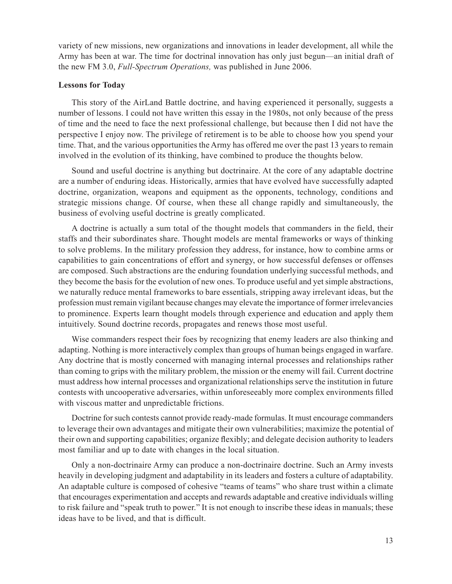variety of new missions, new organizations and innovations in leader development, all while the Army has been at war. The time for doctrinal innovation has only just begun—an initial draft of the new FM 3.0, *Full-Spectrum Operations,* was published in June 2006.

#### **Lessons for Today**

This story of the AirLand Battle doctrine, and having experienced it personally, suggests a number of lessons. I could not have written this essay in the 1980s, not only because of the press of time and the need to face the next professional challenge, but because then I did not have the perspective I enjoy now. The privilege of retirement is to be able to choose how you spend your time. That, and the various opportunities the Army has offered me over the past 13 years to remain involved in the evolution of its thinking, have combined to produce the thoughts below.

Sound and useful doctrine is anything but doctrinaire. At the core of any adaptable doctrine are a number of enduring ideas. Historically, armies that have evolved have successfully adapted doctrine, organization, weapons and equipment as the opponents, technology, conditions and strategic missions change. Of course, when these all change rapidly and simultaneously, the business of evolving useful doctrine is greatly complicated.

A doctrine is actually a sum total of the thought models that commanders in the field, their staffs and their subordinates share. Thought models are mental frameworks or ways of thinking to solve problems. In the military profession they address, for instance, how to combine arms or capabilities to gain concentrations of effort and synergy, or how successful defenses or offenses are composed. Such abstractions are the enduring foundation underlying successful methods, and they become the basis for the evolution of new ones. To produce useful and yet simple abstractions, we naturally reduce mental frameworks to bare essentials, stripping away irrelevant ideas, but the profession must remain vigilant because changes may elevate the importance of former irrelevancies to prominence. Experts learn thought models through experience and education and apply them intuitively. Sound doctrine records, propagates and renews those most useful.

Wise commanders respect their foes by recognizing that enemy leaders are also thinking and adapting. Nothing is more interactively complex than groups of human beings engaged in warfare. Any doctrine that is mostly concerned with managing internal processes and relationships rather than coming to grips with the military problem, the mission or the enemy will fail. Current doctrine must address how internal processes and organizational relationships serve the institution in future contests with uncooperative adversaries, within unforeseeably more complex environments filled with viscous matter and unpredictable frictions.

Doctrine for such contests cannot provide ready-made formulas. It must encourage commanders to leverage their own advantages and mitigate their own vulnerabilities; maximize the potential of their own and supporting capabilities; organize flexibly; and delegate decision authority to leaders most familiar and up to date with changes in the local situation.

Only a non-doctrinaire Army can produce a non-doctrinaire doctrine. Such an Army invests heavily in developing judgment and adaptability in its leaders and fosters a culture of adaptability. An adaptable culture is composed of cohesive "teams of teams" who share trust within a climate that encourages experimentation and accepts and rewards adaptable and creative individuals willing to risk failure and "speak truth to power." It is not enough to inscribe these ideas in manuals; these ideas have to be lived, and that is difficult.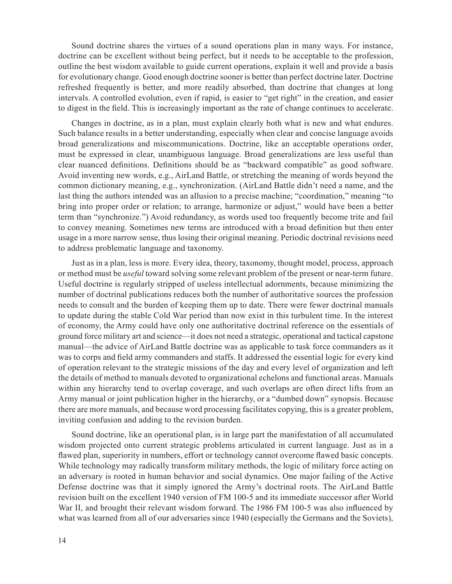Sound doctrine shares the virtues of a sound operations plan in many ways. For instance, doctrine can be excellent without being perfect, but it needs to be acceptable to the profession, outline the best wisdom available to guide current operations, explain it well and provide a basis for evolutionary change. Good enough doctrine sooner is better than perfect doctrine later. Doctrine refreshed frequently is better, and more readily absorbed, than doctrine that changes at long intervals. A controlled evolution, even if rapid, is easier to "get right" in the creation, and easier to digest in the field. This is increasingly important as the rate of change continues to accelerate.

Changes in doctrine, as in a plan, must explain clearly both what is new and what endures. Such balance results in a better understanding, especially when clear and concise language avoids broad generalizations and miscommunications. Doctrine, like an acceptable operations order, must be expressed in clear, unambiguous language. Broad generalizations are less useful than clear nuanced definitions. Definitions should be as "backward compatible" as good software. Avoid inventing new words, e.g., AirLand Battle, or stretching the meaning of words beyond the common dictionary meaning, e.g., synchronization. (AirLand Battle didn't need a name, and the last thing the authors intended was an allusion to a precise machine; "coordination," meaning "to bring into proper order or relation; to arrange, harmonize or adjust," would have been a better term than "synchronize.") Avoid redundancy, as words used too frequently become trite and fail to convey meaning. Sometimes new terms are introduced with a broad definition but then enter usage in a more narrow sense, thus losing their original meaning. Periodic doctrinal revisions need to address problematic language and taxonomy.

Just as in a plan, less is more. Every idea, theory, taxonomy, thought model, process, approach or method must be *useful* toward solving some relevant problem of the present or near-term future. Useful doctrine is regularly stripped of useless intellectual adornments, because minimizing the number of doctrinal publications reduces both the number of authoritative sources the profession needs to consult and the burden of keeping them up to date. There were fewer doctrinal manuals to update during the stable Cold War period than now exist in this turbulent time. In the interest of economy, the Army could have only one authoritative doctrinal reference on the essentials of ground force military art and science—it does not need a strategic, operational and tactical capstone manual—the advice of AirLand Battle doctrine was as applicable to task force commanders as it was to corps and field army commanders and staffs. It addressed the essential logic for every kind of operation relevant to the strategic missions of the day and every level of organization and left the details of method to manuals devoted to organizational echelons and functional areas. Manuals within any hierarchy tend to overlap coverage, and such overlaps are often direct lifts from an Army manual or joint publication higher in the hierarchy, or a "dumbed down" synopsis. Because there are more manuals, and because word processing facilitates copying, this is a greater problem, inviting confusion and adding to the revision burden.

Sound doctrine, like an operational plan, is in large part the manifestation of all accumulated wisdom projected onto current strategic problems articulated in current language. Just as in a flawed plan, superiority in numbers, effort or technology cannot overcome flawed basic concepts. While technology may radically transform military methods, the logic of military force acting on an adversary is rooted in human behavior and social dynamics. One major failing of the Active Defense doctrine was that it simply ignored the Army's doctrinal roots. The AirLand Battle revision built on the excellent 1940 version of FM 100-5 and its immediate successor after World War II, and brought their relevant wisdom forward. The 1986 FM 100-5 was also influenced by what was learned from all of our adversaries since 1940 (especially the Germans and the Soviets),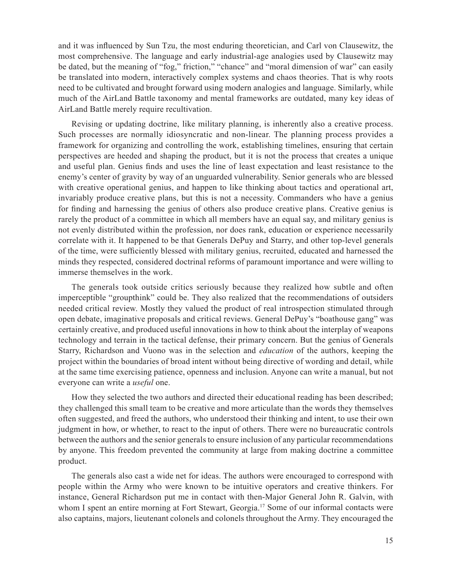and it was influenced by Sun Tzu, the most enduring theoretician, and Carl von Clausewitz, the most comprehensive. The language and early industrial-age analogies used by Clausewitz may be dated, but the meaning of "fog," friction," "chance" and "moral dimension of war" can easily be translated into modern, interactively complex systems and chaos theories. That is why roots need to be cultivated and brought forward using modern analogies and language. Similarly, while much of the AirLand Battle taxonomy and mental frameworks are outdated, many key ideas of AirLand Battle merely require recultivation.

Revising or updating doctrine, like military planning, is inherently also a creative process. Such processes are normally idiosyncratic and non-linear. The planning process provides a framework for organizing and controlling the work, establishing timelines, ensuring that certain perspectives are heeded and shaping the product, but it is not the process that creates a unique and useful plan. Genius finds and uses the line of least expectation and least resistance to the enemy's center of gravity by way of an unguarded vulnerability. Senior generals who are blessed with creative operational genius, and happen to like thinking about tactics and operational art, invariably produce creative plans, but this is not a necessity. Commanders who have a genius for finding and harnessing the genius of others also produce creative plans. Creative genius is rarely the product of a committee in which all members have an equal say, and military genius is not evenly distributed within the profession, nor does rank, education or experience necessarily correlate with it. It happened to be that Generals DePuy and Starry, and other top-level generals of the time, were sufficiently blessed with military genius, recruited, educated and harnessed the minds they respected, considered doctrinal reforms of paramount importance and were willing to immerse themselves in the work.

The generals took outside critics seriously because they realized how subtle and often imperceptible "groupthink" could be. They also realized that the recommendations of outsiders needed critical review. Mostly they valued the product of real introspection stimulated through open debate, imaginative proposals and critical reviews. General DePuy's "boathouse gang" was certainly creative, and produced useful innovations in how to think about the interplay of weapons technology and terrain in the tactical defense, their primary concern. But the genius of Generals Starry, Richardson and Vuono was in the selection and *education* of the authors, keeping the project within the boundaries of broad intent without being directive of wording and detail, while at the same time exercising patience, openness and inclusion. Anyone can write a manual, but not everyone can write a *useful* one.

How they selected the two authors and directed their educational reading has been described; they challenged this small team to be creative and more articulate than the words they themselves often suggested, and freed the authors, who understood their thinking and intent, to use their own judgment in how, or whether, to react to the input of others. There were no bureaucratic controls between the authors and the senior generals to ensure inclusion of any particular recommendations by anyone. This freedom prevented the community at large from making doctrine a committee product.

The generals also cast a wide net for ideas. The authors were encouraged to correspond with people within the Army who were known to be intuitive operators and creative thinkers. For instance, General Richardson put me in contact with then-Major General John R. Galvin, with whom I spent an entire morning at Fort Stewart, Georgia.<sup>17</sup> Some of our informal contacts were also captains, majors, lieutenant colonels and colonels throughout the Army. They encouraged the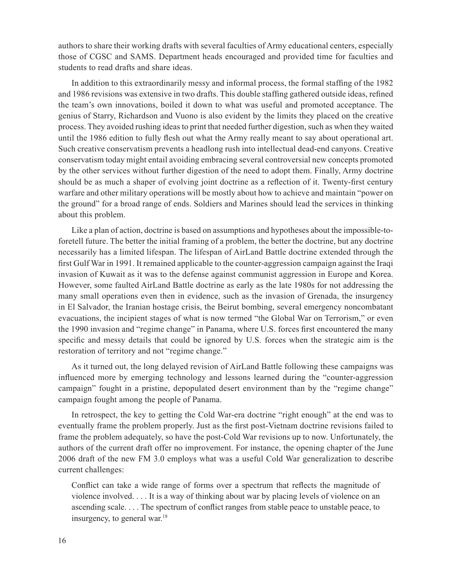authors to share their working drafts with several faculties of Army educational centers, especially those of CGSC and SAMS. Department heads encouraged and provided time for faculties and students to read drafts and share ideas.

In addition to this extraordinarily messy and informal process, the formal staffing of the 1982 and 1986 revisions was extensive in two drafts. This double staffing gathered outside ideas, refined the team's own innovations, boiled it down to what was useful and promoted acceptance. The genius of Starry, Richardson and Vuono is also evident by the limits they placed on the creative process. They avoided rushing ideas to print that needed further digestion, such as when they waited until the 1986 edition to fully flesh out what the Army really meant to say about operational art. Such creative conservatism prevents a headlong rush into intellectual dead-end canyons. Creative conservatism today might entail avoiding embracing several controversial new concepts promoted by the other services without further digestion of the need to adopt them. Finally, Army doctrine should be as much a shaper of evolving joint doctrine as a reflection of it. Twenty-first century warfare and other military operations will be mostly about how to achieve and maintain "power on the ground" for a broad range of ends. Soldiers and Marines should lead the services in thinking about this problem.

Like a plan of action, doctrine is based on assumptions and hypotheses about the impossible-toforetell future. The better the initial framing of a problem, the better the doctrine, but any doctrine necessarily has a limited lifespan. The lifespan of AirLand Battle doctrine extended through the first Gulf War in 1991. It remained applicable to the counter-aggression campaign against the Iraqi invasion of Kuwait as it was to the defense against communist aggression in Europe and Korea. However, some faulted AirLand Battle doctrine as early as the late 1980s for not addressing the many small operations even then in evidence, such as the invasion of Grenada, the insurgency in El Salvador, the Iranian hostage crisis, the Beirut bombing, several emergency noncombatant evacuations, the incipient stages of what is now termed "the Global War on Terrorism," or even the 1990 invasion and "regime change" in Panama, where U.S. forces first encountered the many specific and messy details that could be ignored by U.S. forces when the strategic aim is the restoration of territory and not "regime change."

As it turned out, the long delayed revision of AirLand Battle following these campaigns was influenced more by emerging technology and lessons learned during the "counter-aggression campaign" fought in a pristine, depopulated desert environment than by the "regime change" campaign fought among the people of Panama.

In retrospect, the key to getting the Cold War-era doctrine "right enough" at the end was to eventually frame the problem properly. Just as the first post-Vietnam doctrine revisions failed to frame the problem adequately, so have the post-Cold War revisions up to now. Unfortunately, the authors of the current draft offer no improvement. For instance, the opening chapter of the June 2006 draft of the new FM 3.0 employs what was a useful Cold War generalization to describe current challenges:

Conflict can take a wide range of forms over a spectrum that reflects the magnitude of violence involved. . . . It is a way of thinking about war by placing levels of violence on an ascending scale. . . . The spectrum of conflict ranges from stable peace to unstable peace, to insurgency, to general war.18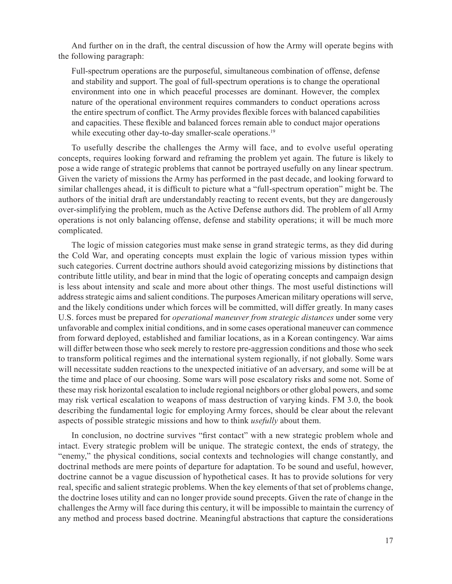And further on in the draft, the central discussion of how the Army will operate begins with the following paragraph:

Full-spectrum operations are the purposeful, simultaneous combination of offense, defense and stability and support. The goal of full-spectrum operations is to change the operational environment into one in which peaceful processes are dominant. However, the complex nature of the operational environment requires commanders to conduct operations across the entire spectrum of conflict. The Army provides flexible forces with balanced capabilities and capacities. These flexible and balanced forces remain able to conduct major operations while executing other day-to-day smaller-scale operations.<sup>19</sup>

To usefully describe the challenges the Army will face, and to evolve useful operating concepts, requires looking forward and reframing the problem yet again. The future is likely to pose a wide range of strategic problems that cannot be portrayed usefully on any linear spectrum. Given the variety of missions the Army has performed in the past decade, and looking forward to similar challenges ahead, it is difficult to picture what a "full-spectrum operation" might be. The authors of the initial draft are understandably reacting to recent events, but they are dangerously over-simplifying the problem, much as the Active Defense authors did. The problem of all Army operations is not only balancing offense, defense and stability operations; it will be much more complicated.

The logic of mission categories must make sense in grand strategic terms, as they did during the Cold War, and operating concepts must explain the logic of various mission types within such categories. Current doctrine authors should avoid categorizing missions by distinctions that contribute little utility, and bear in mind that the logic of operating concepts and campaign design is less about intensity and scale and more about other things. The most useful distinctions will address strategic aims and salient conditions. The purposes American military operations will serve, and the likely conditions under which forces will be committed, will differ greatly. In many cases U.S. forces must be prepared for *operational maneuver from strategic distances* under some very unfavorable and complex initial conditions, and in some cases operational maneuver can commence from forward deployed, established and familiar locations, as in a Korean contingency. War aims will differ between those who seek merely to restore pre-aggression conditions and those who seek to transform political regimes and the international system regionally, if not globally. Some wars will necessitate sudden reactions to the unexpected initiative of an adversary, and some will be at the time and place of our choosing. Some wars will pose escalatory risks and some not. Some of these may risk horizontal escalation to include regional neighbors or other global powers, and some may risk vertical escalation to weapons of mass destruction of varying kinds. FM 3.0, the book describing the fundamental logic for employing Army forces, should be clear about the relevant aspects of possible strategic missions and how to think *usefully* about them.

In conclusion, no doctrine survives "first contact" with a new strategic problem whole and intact. Every strategic problem will be unique. The strategic context, the ends of strategy, the "enemy," the physical conditions, social contexts and technologies will change constantly, and doctrinal methods are mere points of departure for adaptation. To be sound and useful, however, doctrine cannot be a vague discussion of hypothetical cases. It has to provide solutions for very real, specific and salient strategic problems. When the key elements of that set of problems change, the doctrine loses utility and can no longer provide sound precepts. Given the rate of change in the challenges the Army will face during this century, it will be impossible to maintain the currency of any method and process based doctrine. Meaningful abstractions that capture the considerations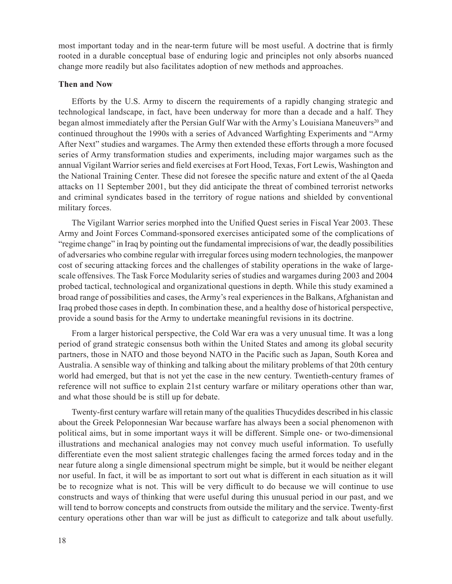most important today and in the near-term future will be most useful. A doctrine that is firmly rooted in a durable conceptual base of enduring logic and principles not only absorbs nuanced change more readily but also facilitates adoption of new methods and approaches.

#### **Then and Now**

Efforts by the U.S. Army to discern the requirements of a rapidly changing strategic and technological landscape, in fact, have been underway for more than a decade and a half. They began almost immediately after the Persian Gulf War with the Army's Louisiana Maneuvers<sup>20</sup> and continued throughout the 1990s with a series of Advanced Warfighting Experiments and "Army After Next" studies and wargames. The Army then extended these efforts through a more focused series of Army transformation studies and experiments, including major wargames such as the annual Vigilant Warrior series and field exercises at Fort Hood, Texas, Fort Lewis, Washington and the National Training Center. These did not foresee the specific nature and extent of the al Qaeda attacks on 11 September 2001, but they did anticipate the threat of combined terrorist networks and criminal syndicates based in the territory of rogue nations and shielded by conventional military forces.

The Vigilant Warrior series morphed into the Unified Quest series in Fiscal Year 2003. These Army and Joint Forces Command-sponsored exercises anticipated some of the complications of "regime change" in Iraq by pointing out the fundamental imprecisions of war, the deadly possibilities of adversaries who combine regular with irregular forces using modern technologies, the manpower cost of securing attacking forces and the challenges of stability operations in the wake of largescale offensives. The Task Force Modularity series of studies and wargames during 2003 and 2004 probed tactical, technological and organizational questions in depth. While this study examined a broad range of possibilities and cases, the Army's real experiences in the Balkans, Afghanistan and Iraq probed those cases in depth. In combination these, and a healthy dose of historical perspective, provide a sound basis for the Army to undertake meaningful revisions in its doctrine.

From a larger historical perspective, the Cold War era was a very unusual time. It was a long period of grand strategic consensus both within the United States and among its global security partners, those in NATO and those beyond NATO in the Pacific such as Japan, South Korea and Australia. A sensible way of thinking and talking about the military problems of that 20th century world had emerged, but that is not yet the case in the new century. Twentieth-century frames of reference will not suffice to explain 21st century warfare or military operations other than war, and what those should be is still up for debate.

Twenty-first century warfare will retain many of the qualities Thucydides described in his classic about the Greek Peloponnesian War because warfare has always been a social phenomenon with political aims, but in some important ways it will be different. Simple one- or two-dimensional illustrations and mechanical analogies may not convey much useful information. To usefully differentiate even the most salient strategic challenges facing the armed forces today and in the near future along a single dimensional spectrum might be simple, but it would be neither elegant nor useful. In fact, it will be as important to sort out what is different in each situation as it will be to recognize what is not. This will be very difficult to do because we will continue to use constructs and ways of thinking that were useful during this unusual period in our past, and we will tend to borrow concepts and constructs from outside the military and the service. Twenty-first century operations other than war will be just as difficult to categorize and talk about usefully.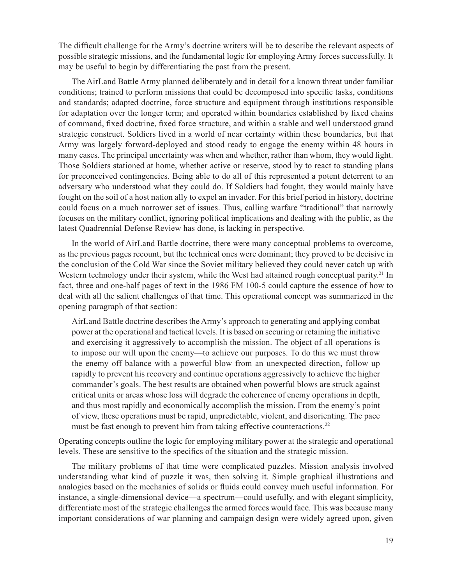The difficult challenge for the Army's doctrine writers will be to describe the relevant aspects of possible strategic missions, and the fundamental logic for employing Army forces successfully. It may be useful to begin by differentiating the past from the present.

The AirLand Battle Army planned deliberately and in detail for a known threat under familiar conditions; trained to perform missions that could be decomposed into specific tasks, conditions and standards; adapted doctrine, force structure and equipment through institutions responsible for adaptation over the longer term; and operated within boundaries established by fixed chains of command, fixed doctrine, fixed force structure, and within a stable and well understood grand strategic construct. Soldiers lived in a world of near certainty within these boundaries, but that Army was largely forward-deployed and stood ready to engage the enemy within 48 hours in many cases. The principal uncertainty was when and whether, rather than whom, they would fight. Those Soldiers stationed at home, whether active or reserve, stood by to react to standing plans for preconceived contingencies. Being able to do all of this represented a potent deterrent to an adversary who understood what they could do. If Soldiers had fought, they would mainly have fought on the soil of a host nation ally to expel an invader. For this brief period in history, doctrine could focus on a much narrower set of issues. Thus, calling warfare "traditional" that narrowly focuses on the military conflict, ignoring political implications and dealing with the public, as the latest Quadrennial Defense Review has done, is lacking in perspective.

In the world of AirLand Battle doctrine, there were many conceptual problems to overcome, as the previous pages recount, but the technical ones were dominant; they proved to be decisive in the conclusion of the Cold War since the Soviet military believed they could never catch up with Western technology under their system, while the West had attained rough conceptual parity.<sup>21</sup> In fact, three and one-half pages of text in the 1986 FM 100-5 could capture the essence of how to deal with all the salient challenges of that time. This operational concept was summarized in the opening paragraph of that section:

AirLand Battle doctrine describes the Army's approach to generating and applying combat power at the operational and tactical levels. It is based on securing or retaining the initiative and exercising it aggressively to accomplish the mission. The object of all operations is to impose our will upon the enemy—to achieve our purposes. To do this we must throw the enemy off balance with a powerful blow from an unexpected direction, follow up rapidly to prevent his recovery and continue operations aggressively to achieve the higher commander's goals. The best results are obtained when powerful blows are struck against critical units or areas whose loss will degrade the coherence of enemy operations in depth, and thus most rapidly and economically accomplish the mission. From the enemy's point of view, these operations must be rapid, unpredictable, violent, and disorienting. The pace must be fast enough to prevent him from taking effective counteractions.<sup>22</sup>

Operating concepts outline the logic for employing military power at the strategic and operational levels. These are sensitive to the specifics of the situation and the strategic mission.

The military problems of that time were complicated puzzles. Mission analysis involved understanding what kind of puzzle it was, then solving it. Simple graphical illustrations and analogies based on the mechanics of solids or fluids could convey much useful information. For instance, a single-dimensional device—a spectrum—could usefully, and with elegant simplicity, differentiate most of the strategic challenges the armed forces would face. This was because many important considerations of war planning and campaign design were widely agreed upon, given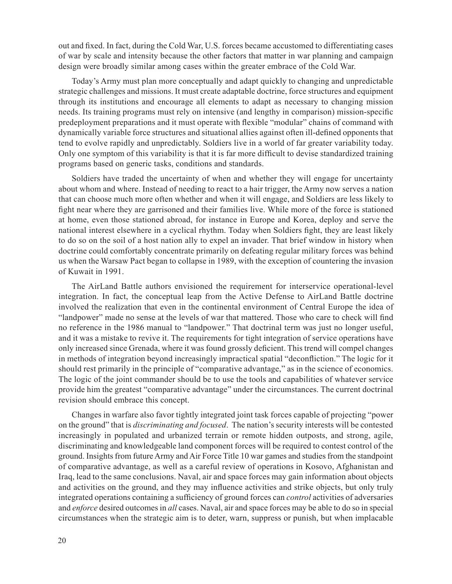out and fixed. In fact, during the Cold War, U.S. forces became accustomed to differentiating cases of war by scale and intensity because the other factors that matter in war planning and campaign design were broadly similar among cases within the greater embrace of the Cold War.

Today's Army must plan more conceptually and adapt quickly to changing and unpredictable strategic challenges and missions. It must create adaptable doctrine, force structures and equipment through its institutions and encourage all elements to adapt as necessary to changing mission needs. Its training programs must rely on intensive (and lengthy in comparison) mission-specific predeployment preparations and it must operate with flexible "modular" chains of command with dynamically variable force structures and situational allies against often ill-defined opponents that tend to evolve rapidly and unpredictably. Soldiers live in a world of far greater variability today. Only one symptom of this variability is that it is far more difficult to devise standardized training programs based on generic tasks, conditions and standards.

Soldiers have traded the uncertainty of when and whether they will engage for uncertainty about whom and where. Instead of needing to react to a hair trigger, the Army now serves a nation that can choose much more often whether and when it will engage, and Soldiers are less likely to fight near where they are garrisoned and their families live. While more of the force is stationed at home, even those stationed abroad, for instance in Europe and Korea, deploy and serve the national interest elsewhere in a cyclical rhythm. Today when Soldiers fight, they are least likely to do so on the soil of a host nation ally to expel an invader. That brief window in history when doctrine could comfortably concentrate primarily on defeating regular military forces was behind us when the Warsaw Pact began to collapse in 1989, with the exception of countering the invasion of Kuwait in 1991.

The AirLand Battle authors envisioned the requirement for interservice operational-level integration. In fact, the conceptual leap from the Active Defense to AirLand Battle doctrine involved the realization that even in the continental environment of Central Europe the idea of "landpower" made no sense at the levels of war that mattered. Those who care to check will find no reference in the 1986 manual to "landpower." That doctrinal term was just no longer useful, and it was a mistake to revive it. The requirements for tight integration of service operations have only increased since Grenada, where it was found grossly deficient. This trend will compel changes in methods of integration beyond increasingly impractical spatial "deconfliction." The logic for it should rest primarily in the principle of "comparative advantage," as in the science of economics. The logic of the joint commander should be to use the tools and capabilities of whatever service provide him the greatest "comparative advantage" under the circumstances. The current doctrinal revision should embrace this concept.

Changes in warfare also favor tightly integrated joint task forces capable of projecting "power on the ground" that is *discriminating and focused*. The nation's security interests will be contested increasingly in populated and urbanized terrain or remote hidden outposts, and strong, agile, discriminating and knowledgeable land component forces will be required to contest control of the ground. Insights from future Army and Air Force Title 10 war games and studies from the standpoint of comparative advantage, as well as a careful review of operations in Kosovo, Afghanistan and Iraq, lead to the same conclusions. Naval, air and space forces may gain information about objects and activities on the ground, and they may influence activities and strike objects, but only truly integrated operations containing a sufficiency of ground forces can *control* activities of adversaries and *enforce* desired outcomes in *all* cases. Naval, air and space forces may be able to do so in special circumstances when the strategic aim is to deter, warn, suppress or punish, but when implacable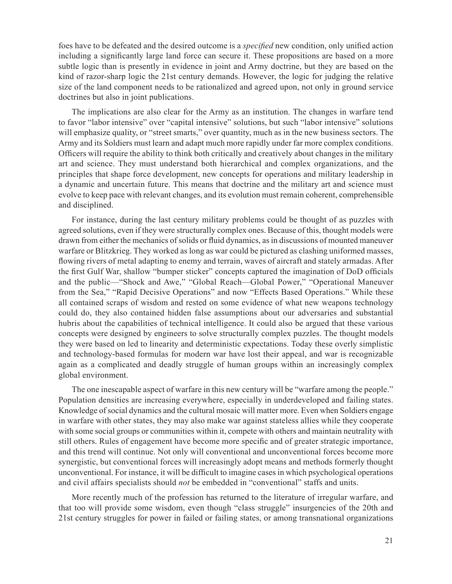foes have to be defeated and the desired outcome is a *specified* new condition, only unified action including a significantly large land force can secure it. These propositions are based on a more subtle logic than is presently in evidence in joint and Army doctrine, but they are based on the kind of razor-sharp logic the 21st century demands. However, the logic for judging the relative size of the land component needs to be rationalized and agreed upon, not only in ground service doctrines but also in joint publications.

The implications are also clear for the Army as an institution. The changes in warfare tend to favor "labor intensive" over "capital intensive" solutions, but such "labor intensive" solutions will emphasize quality, or "street smarts," over quantity, much as in the new business sectors. The Army and its Soldiers must learn and adapt much more rapidly under far more complex conditions. Officers will require the ability to think both critically and creatively about changes in the military art and science. They must understand both hierarchical and complex organizations, and the principles that shape force development, new concepts for operations and military leadership in a dynamic and uncertain future. This means that doctrine and the military art and science must evolve to keep pace with relevant changes, and its evolution must remain coherent, comprehensible and disciplined.

For instance, during the last century military problems could be thought of as puzzles with agreed solutions, even if they were structurally complex ones. Because of this, thought models were drawn from either the mechanics of solids or fluid dynamics, as in discussions of mounted maneuver warfare or Blitzkrieg. They worked as long as war could be pictured as clashing uniformed masses, flowing rivers of metal adapting to enemy and terrain, waves of aircraft and stately armadas. After the first Gulf War, shallow "bumper sticker" concepts captured the imagination of DoD officials and the public—"Shock and Awe," "Global Reach—Global Power," "Operational Maneuver from the Sea," "Rapid Decisive Operations" and now "Effects Based Operations." While these all contained scraps of wisdom and rested on some evidence of what new weapons technology could do, they also contained hidden false assumptions about our adversaries and substantial hubris about the capabilities of technical intelligence. It could also be argued that these various concepts were designed by engineers to solve structurally complex puzzles. The thought models they were based on led to linearity and deterministic expectations. Today these overly simplistic and technology-based formulas for modern war have lost their appeal, and war is recognizable again as a complicated and deadly struggle of human groups within an increasingly complex global environment.

The one inescapable aspect of warfare in this new century will be "warfare among the people." Population densities are increasing everywhere, especially in underdeveloped and failing states. Knowledge of social dynamics and the cultural mosaic will matter more. Even when Soldiers engage in warfare with other states, they may also make war against stateless allies while they cooperate with some social groups or communities within it, compete with others and maintain neutrality with still others. Rules of engagement have become more specific and of greater strategic importance, and this trend will continue. Not only will conventional and unconventional forces become more synergistic, but conventional forces will increasingly adopt means and methods formerly thought unconventional. For instance, it will be difficult to imagine cases in which psychological operations and civil affairs specialists should *not* be embedded in "conventional" staffs and units.

More recently much of the profession has returned to the literature of irregular warfare, and that too will provide some wisdom, even though "class struggle" insurgencies of the 20th and 21st century struggles for power in failed or failing states, or among transnational organizations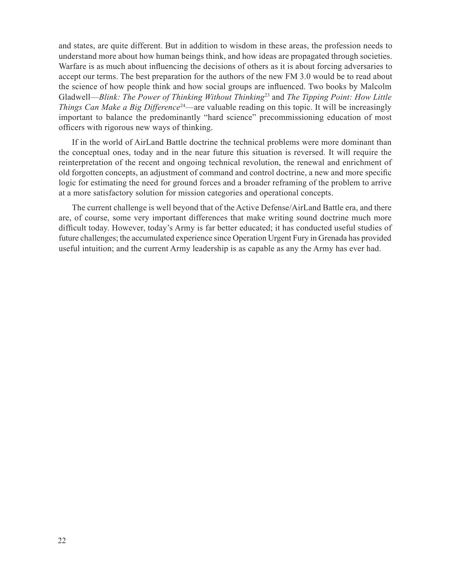and states, are quite different. But in addition to wisdom in these areas, the profession needs to understand more about how human beings think, and how ideas are propagated through societies. Warfare is as much about influencing the decisions of others as it is about forcing adversaries to accept our terms. The best preparation for the authors of the new FM 3.0 would be to read about the science of how people think and how social groups are influenced. Two books by Malcolm Gladwell—*Blink: The Power of Thinking Without Thinking*23 and *The Tipping Point: How Little Things Can Make a Big Difference*<sup>24</sup>—are valuable reading on this topic. It will be increasingly important to balance the predominantly "hard science" precommissioning education of most officers with rigorous new ways of thinking.

If in the world of AirLand Battle doctrine the technical problems were more dominant than the conceptual ones, today and in the near future this situation is reversed. It will require the reinterpretation of the recent and ongoing technical revolution, the renewal and enrichment of old forgotten concepts, an adjustment of command and control doctrine, a new and more specific logic for estimating the need for ground forces and a broader reframing of the problem to arrive at a more satisfactory solution for mission categories and operational concepts.

The current challenge is well beyond that of the Active Defense/AirLand Battle era, and there are, of course, some very important differences that make writing sound doctrine much more difficult today. However, today's Army is far better educated; it has conducted useful studies of future challenges; the accumulated experience since Operation Urgent Fury in Grenada has provided useful intuition; and the current Army leadership is as capable as any the Army has ever had.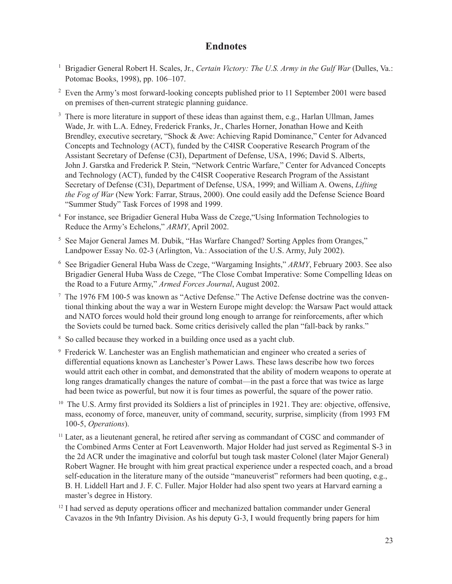# **Endnotes**

- <sup>1</sup> Brigadier General Robert H. Scales, Jr., *Certain Victory: The U.S. Army in the Gulf War* (Dulles, Va.: Potomac Books, 1998), pp. 106–107.
- <sup>2</sup> Even the Army's most forward-looking concepts published prior to 11 September 2001 were based on premises of then-current strategic planning guidance.
- <sup>3</sup> There is more literature in support of these ideas than against them, e.g., Harlan Ullman, James Wade, Jr. with L.A. Edney, Frederick Franks, Jr., Charles Horner, Jonathan Howe and Keith Brendley, executive secretary, "Shock & Awe: Achieving Rapid Dominance," Center for Advanced Concepts and Technology (ACT), funded by the C4ISR Cooperative Research Program of the Assistant Secretary of Defense (C3I), Department of Defense, USA, 1996; David S. Alberts, John J. Garstka and Frederick P. Stein, "Network Centric Warfare," Center for Advanced Concepts and Technology (ACT), funded by the C4ISR Cooperative Research Program of the Assistant Secretary of Defense (C3I), Department of Defense, USA, 1999; and William A. Owens, *Lifting the Fog of War* (New York: Farrar, Straus, 2000). One could easily add the Defense Science Board "Summer Study" Task Forces of 1998 and 1999.
- <sup>4</sup>For instance, see Brigadier General Huba Wass de Czege,"Using Information Technologies to Reduce the Army's Echelons," *ARMY*, April 2002.
- <sup>5</sup> See Major General James M. Dubik, "Has Warfare Changed? Sorting Apples from Oranges," Landpower Essay No. 02-3 (Arlington, Va.: Association of the U.S. Army, July 2002).
- 6 See Brigadier General Huba Wass de Czege, "Wargaming Insights," *ARMY*, February 2003. See also Brigadier General Huba Wass de Czege, "The Close Combat Imperative: Some Compelling Ideas on the Road to a Future Army," *Armed Forces Journal*, August 2002.
- <sup>7</sup> The 1976 FM 100-5 was known as "Active Defense." The Active Defense doctrine was the conventional thinking about the way a war in Western Europe might develop: the Warsaw Pact would attack and NATO forces would hold their ground long enough to arrange for reinforcements, after which the Soviets could be turned back. Some critics derisively called the plan "fall-back by ranks."
- <sup>8</sup> So called because they worked in a building once used as a yacht club.
- 9 Frederick W. Lanchester was an English mathematician and engineer who created a series of differential equations known as Lanchester's Power Laws. These laws describe how two forces would attrit each other in combat, and demonstrated that the ability of modern weapons to operate at long ranges dramatically changes the nature of combat—in the past a force that was twice as large had been twice as powerful, but now it is four times as powerful, the square of the power ratio.
- $10$  The U.S. Army first provided its Soldiers a list of principles in 1921. They are: objective, offensive, mass, economy of force, maneuver, unity of command, security, surprise, simplicity (from 1993 FM 100-5, *Operations*).
- <sup>11</sup> Later, as a lieutenant general, he retired after serving as commandant of CGSC and commander of the Combined Arms Center at Fort Leavenworth. Major Holder had just served as Regimental S-3 in the 2d ACR under the imaginative and colorful but tough task master Colonel (later Major General) Robert Wagner. He brought with him great practical experience under a respected coach, and a broad self-education in the literature many of the outside "maneuverist" reformers had been quoting, e.g., B. H. Liddell Hart and J. F. C. Fuller. Major Holder had also spent two years at Harvard earning a master's degree in History.
- $12$  I had served as deputy operations officer and mechanized battalion commander under General Cavazos in the 9th Infantry Division. As his deputy G-3, I would frequently bring papers for him